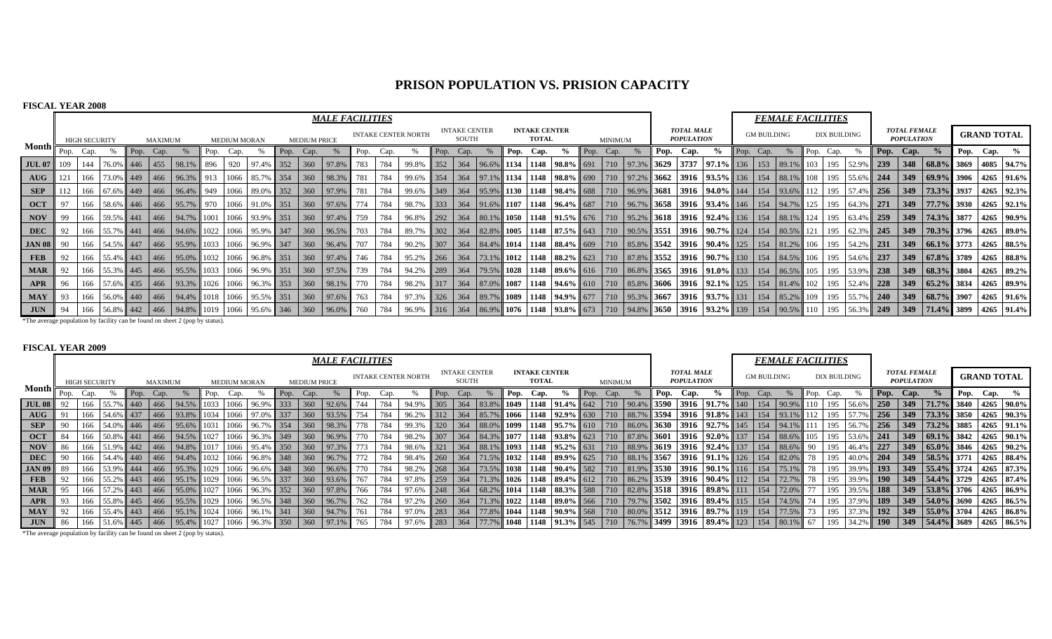## **PRISON POPULATION VS. PRISION CAPACITY**

#### **FISCAL YEAR 2008**

|                                                                                                            |     |                      |           |           |         |                                                                   |                 |                     |                      |      |                                                             | <b>MALE FACILITIES</b> |      |      |                            |                 |                               |           |      |              |                                              |      |                |                |                                        |                                                                                                                                                                                    |           |                    | <b>FEMALE FACILITIES</b> |      |              |               |            |                                          |                                                         |                    |                                                       |
|------------------------------------------------------------------------------------------------------------|-----|----------------------|-----------|-----------|---------|-------------------------------------------------------------------|-----------------|---------------------|----------------------|------|-------------------------------------------------------------|------------------------|------|------|----------------------------|-----------------|-------------------------------|-----------|------|--------------|----------------------------------------------|------|----------------|----------------|----------------------------------------|------------------------------------------------------------------------------------------------------------------------------------------------------------------------------------|-----------|--------------------|--------------------------|------|--------------|---------------|------------|------------------------------------------|---------------------------------------------------------|--------------------|-------------------------------------------------------|
|                                                                                                            |     | <b>HIGH SECURITY</b> |           |           | MAXIMUM |                                                                   |                 | <b>MEDIUM MORAN</b> |                      |      | <b>MEDIUM PRICE</b>                                         |                        |      |      | <b>INTAKE CENTER NORTH</b> |                 | <b>INTAKE CENTER</b><br>SOUTH |           |      | <b>TOTAL</b> | <b>INTAKE CENTER</b>                         |      | <b>MINIMUM</b> |                | <b>TOTAL MALE</b><br><b>POPULATION</b> |                                                                                                                                                                                    |           | <b>GM BUILDING</b> |                          |      | DIX BUILDING |               |            | <b>TOTAL FEMALE</b><br><b>POPULATION</b> |                                                         | <b>GRAND TOTAL</b> |                                                       |
| Month F                                                                                                    |     | Pop. Cap.            |           | Pop. Cap. |         |                                                                   |                 | Pop. Cap.           |                      | Pop. | Cap.                                                        |                        | Pop. | Cap. |                            |                 | Pop. Cap.                     |           | Pop. | Cap.         |                                              | Pop. | Cap.           |                | Pop. Cap.                              |                                                                                                                                                                                    | Pop. Cap. |                    |                          | Pop. | Cap.         |               |            | Pop. Cap.                                |                                                         | Pop. Cap. $\%$     |                                                       |
| <b>JUL 07</b>                                                                                              | 109 | 144                  | 76.0% 446 |           |         | 455 98.1%                                                         | $\parallel$ 896 | 920                 | 97.4% 352            |      | $\begin{array}{c} \boxed{360} \end{array}$                  | 97.8%                  | 783  | 784  | 99.8%                      | $\frac{1}{352}$ | 364                           |           |      |              | $\ 96.6\% \ 1134 \ 1148 \ 98.8\% \ 691$      |      |                | 710 97.3% 3629 |                                        | $3737$ 97.1% 136                                                                                                                                                                   |           |                    | 153 89.1% 103            |      |              | 52.9% 239     |            |                                          | 348 68.8% 3869 4085 94.7%                               |                    |                                                       |
| $\mathbf{A} \mathbf{U} \mathbf{G}$                                                                         |     |                      |           |           |         | 166 73.0% 449 466 96.3% 913                                       |                 |                     | $1066$ 85.7% 354     |      | $\vert$ 360                                                 | $98.3\%$               | 781  | 784  | 99.6% 354                  |                 |                               |           |      |              |                                              |      |                |                |                                        | 364   97.1%   1134   1148   98.8%   690   710   97.2%   3662   3916   93.5%   136   154   88.1%   108                                                                              |           |                    |                          |      | 195          | 55.6% 244     |            |                                          |                                                         |                    | $349$   69.9%   3906   4265   91.6%                   |
| <b>SEP</b>                                                                                                 |     |                      |           |           |         | 166 67.6% 449 466 96.4% 949                                       |                 |                     | $1066$ 89.0% 352     |      | $\begin{array}{c} \begin{array}{c} \end{array} \end{array}$ | $97.9\%$ 781           |      | 784  | 99.6% 349                  |                 |                               |           |      |              |                                              |      |                |                |                                        | 364   95.9%    1130   1148   98.4%    688   710   96.9%    3681   3916   94.0%    144   154   93.6%    112                                                                         |           |                    |                          |      |              |               |            |                                          | 195   57.4%   256   349   73.3%   3937   4265   92.3%   |                    |                                                       |
| <b>OCT</b>                                                                                                 |     |                      |           |           |         | 166   58.6%   446   466   95.7%   970   1066   91.0%   351   360  |                 |                     |                      |      |                                                             | 97.6% 774              |      | 784  | 98.7% 333                  |                 |                               |           |      |              |                                              |      |                |                |                                        | $364$  91.6%  107  1148  96.4%  687   710  96.7%  3658   3916  93.4%  146  154  94.7%  125                                                                                         |           |                    |                          |      |              |               |            |                                          |                                                         |                    | 195 64.3% 271 349 77.7% 3930 4265 92.1%               |
| <b>NOV</b>                                                                                                 |     |                      | 59.5% 441 |           |         | 466 94.7% 1001                                                    |                 |                     | $1066$   93.9%   351 |      | $\begin{array}{c} \boxed{360} \end{array}$                  | 97.4% 759              |      | 784  | 96.8% 292                  |                 |                               |           |      |              |                                              |      |                |                |                                        | 364   80.1%    1050    1148    91.5%    676    710    95.2%    3618    3916    92.4%    136                                                                                        |           |                    | 154 88.1% 124            |      | 195          | 63.4% 259     |            |                                          | $349$   74.3%   3877   4265   90.9%                     |                    |                                                       |
| <b>DEC</b>                                                                                                 |     |                      |           |           |         | 166   55.7%   441   466   94.6%   1022   1066   95.9%   347       |                 |                     |                      |      | $\vert$ 360                                                 | 96.5% 703              |      | 784  | 89.7% 302                  |                 |                               | 364 82.8% |      |              |                                              |      |                |                |                                        | $\parallel$ 1005   1148   87.5% $\parallel$ 643   710   90.5% $\parallel$ 3551   3916   90.7% $\parallel$ 124   154   80.5% $\parallel$ 121                                        |           |                    |                          |      | 195          |               |            |                                          |                                                         |                    |                                                       |
| $JAN 08$ 90                                                                                                |     |                      |           |           |         | 166   54.5%   447   466   95.9%   1033   1066   96.9%   347       |                 |                     |                      |      | $\vert$ 360                                                 | 96.4% 707              |      | 784  | 90.2% 307                  |                 |                               |           |      |              |                                              |      |                |                |                                        | 364   84.4%   1014   1148   88.4%   609   710   85.8%   3542   3916   90.4%   125   154   81.2%   106                                                                              |           |                    |                          |      |              |               |            |                                          | $195$   54.2%   231   349   66.1%   3773   4265   88.5% |                    |                                                       |
| <b>FEB</b>                                                                                                 |     |                      |           |           |         | 166   55.4%   443   466   95.0%   1032   1066   96.8%   351   360 |                 |                     |                      |      |                                                             | 97.4% 746              |      | 784  | 95.2% 266                  |                 |                               |           |      |              |                                              |      |                |                |                                        | 364   73.1%    1012   1148   88.2%    623   710   87.8%    3552   3916   90.7%    130   154   84.5%    106                                                                         |           |                    |                          |      |              | 195 54.6% 237 |            |                                          | $\parallel$ 349 $\parallel$ 67.8% 3789 4265 88.8%       |                    |                                                       |
| <b>MAR</b>                                                                                                 |     |                      |           |           |         | 166   55.3%   445   466   95.5%   1033   1066   96.9%   351       |                 |                     |                      |      | $\begin{array}{c} \boxed{360} \end{array}$                  | 97.5% 739              |      | 784  | 94.2% 289                  |                 |                               |           |      |              |                                              |      |                |                |                                        | $\mid$ 364 $\mid$ 79.5% $\mid$ 1028 $\mid$ 1148 $\mid$ 89.6% $\mid$ 616 $\mid$ 710 $\mid$ 86.8% $\mid$ 3565 $\mid$ 3916 $\mid$ 91.0% $\mid$ 133 $\mid$ 154 $\mid$ 86.5% $\mid$ 105 |           |                    |                          |      |              |               |            |                                          |                                                         |                    | 195   53.9%   238   349   68.3%   3804   4265   89.2% |
| APR                                                                                                        |     |                      | 57.6% 435 |           |         | 466 93.3% 1026                                                    |                 |                     | 1066 96.3% 353       |      | $\begin{array}{c} 360 \\ -360 \end{array}$                  | 98.1% 770              |      | 784  | 98.2% 317                  |                 |                               |           |      |              |                                              |      |                |                |                                        | 364   87.0%    1087   1148   94.6%    610   710   85.8%    3606   3916   92.1%    125                                                                                              |           |                    | 154 81.4% 102            |      | 195          | $52.4\%$ 228  |            |                                          |                                                         |                    | $349$   65.2%   3834   4265   89.9%                   |
| <b>MAY</b>                                                                                                 |     |                      |           |           |         | 166   56.0%   440   466   94.4%   1018   1066   95.5%   351       |                 |                     |                      |      | $\frac{1}{360}$                                             | 97.6% 763              |      | 784  | 97.3% 326                  |                 |                               | 364 89.7% |      |              | 1089 1148   94.9%   677   710   95.3%   3667 |      |                |                |                                        | <b>3916 93.7%</b> 131 154 85.2% 109                                                                                                                                                |           |                    |                          |      |              | 195 55.7% 240 |            |                                          | $ 349 $ $ 68.7\% 3907 4265 91.6\%$                      |                    |                                                       |
| <b>JUN</b>                                                                                                 | -94 | 166                  |           |           |         | $\mid$ 56.8% 442 466 94.8% 1019 1066 95.6% 346 360                |                 |                     |                      |      |                                                             | $96.0\%$               | 760  | 784  | 96.9%                      | 316             | 364                           | 86.9%     | 1076 |              | 1148   $93.8\%$   673                        |      |                | $94.8\%$ 3650  |                                        | $\vert 3916 \vert 93.2\% \vert 139 \vert$                                                                                                                                          |           | 154                |                          |      |              |               | <b>249</b> |                                          |                                                         |                    | $349$   $71.4\%$   3899   4265   91.4%                |
| STRID concerns to a constitution from Part Heroican from Parried from the centre Antonio from the centre A |     |                      |           |           |         |                                                                   |                 |                     |                      |      |                                                             |                        |      |      |                            |                 |                               |           |      |              |                                              |      |                |                |                                        |                                                                                                                                                                                    |           |                    |                          |      |              |               |            |                                          |                                                         |                    |                                                       |

\*The average population by facility can be found on sheet 2 (pop by status).

#### **FISCAL YEAR 2009**

|               |      |                      |              |         |                                                                                                        |      |      |                    |      |                     | <b>MALE FACILITIES</b> |                 |     |                            |                |                                      |               |      |                                      |                                             |                     |                |      |                                        |                                                                                                                         |                    | <b>FEMALE FACILITIES</b> |     |                     |           |      |                                          |  |                    |                                               |
|---------------|------|----------------------|--------------|---------|--------------------------------------------------------------------------------------------------------|------|------|--------------------|------|---------------------|------------------------|-----------------|-----|----------------------------|----------------|--------------------------------------|---------------|------|--------------------------------------|---------------------------------------------|---------------------|----------------|------|----------------------------------------|-------------------------------------------------------------------------------------------------------------------------|--------------------|--------------------------|-----|---------------------|-----------|------|------------------------------------------|--|--------------------|-----------------------------------------------|
|               |      | <b>HIGH SECURITY</b> |              | MAXIMUM |                                                                                                        |      |      |                    |      | <b>MEDIUM PRICE</b> |                        |                 |     | <b>INTAKE CENTER NORTH</b> |                | <b>INTAKE CENTER</b><br><b>SOUTH</b> |               |      | <b>INTAKE CENTER</b><br><b>TOTAL</b> |                                             |                     | <b>MINIMUM</b> |      | <b>TOTAL MALE</b><br><b>POPULATION</b> |                                                                                                                         | <b>GM BUILDING</b> |                          |     | <b>DIX BUILDING</b> |           |      | <b>TOTAL FEMALE</b><br><b>POPULATION</b> |  | <b>GRAND TOTAL</b> |                                               |
| <b>Month</b>  | Pop. | Cap.                 | Pop.         | Cap.    |                                                                                                        | Pop. | Cap. |                    | Pop. | Cap.                |                        | Pop.            |     |                            | Pop.           | Cap.                                 |               | Pop. | Cap.                                 |                                             | $\blacksquare$ Pop. | Cap.           | Pop. | Cap.                                   |                                                                                                                         | Cap.               |                          | Pop | Cap.                |           | Pop. | Cap.                                     |  | Pop. Cap. $\%$     |                                               |
| <b>JUL 08</b> |      |                      | $\sqrt{440}$ |         | $1466$ 94.5% 1033                                                                                      |      |      | 1066 96.9% 333 360 |      |                     | 92.6%                  | 744             |     |                            | $305 \mid 364$ |                                      | 83.8%         | 1049 |                                      | $1148$ 91.4% 642 710                        |                     |                |      |                                        | $\parallel$ 90.4% 3590 3916 91.7% 140                                                                                   |                    | $154$   90.9%            |     |                     | 56.6% 250 |      |                                          |  |                    | $\parallel$ 349   71.7%   3840   4265   90.0% |
| <b>AUG</b>    |      |                      |              |         | 166   54.6%   437   466   93.8%   1034   1066   97.0%   337                                            |      |      |                    |      | 360                 | 93.5%                  | 754             |     |                            |                |                                      |               |      |                                      |                                             |                     |                |      |                                        | 312   364   85.7%   1066   1148   92.9%   630   710   88.7%   3594   3916   91.8%   143                                 |                    | 154 93.1%                |     |                     |           |      |                                          |  |                    | 256   349   73.3%   3850   4265   90.3%       |
| <b>SEP</b>    |      |                      |              |         | $54.0\%$ 446 466 95.6% 1031 1066 96.7% 354 360                                                         |      |      |                    |      |                     | $98.3\%$               | 778             | 784 | 99.3%                      |                |                                      |               |      |                                      |                                             |                     |                |      |                                        | 320 364 88.0% 1099 1148 35.7% 610 710 86.0% 3630 3916 32.7% 145 154 34.1%                                               |                    |                          |     |                     |           |      |                                          |  |                    | $56.7\%$ 256 349 73.2% 3885 4265 91.1%        |
| <b>OCT</b>    |      |                      |              |         | 166   50.8%   441   466   94.5%   1027   1066   96.3%   349                                            |      |      |                    |      | 360                 | $96.9\%$ 770           |                 | 784 | 98.2%                      |                |                                      |               |      |                                      |                                             |                     |                |      |                                        | $\parallel$ 307   364   84.3%   1077   1148   93.8%   623   710   87.8%   3601   3916   92.0%   137   154   88.6%   105 |                    |                          |     |                     |           |      |                                          |  |                    |                                               |
| NOV           |      |                      |              |         | 166   51.9%   442   466   94.8%   1017   1066   95.4%   350   360                                      |      |      |                    |      |                     | $97.3\%$               | 773             | 784 | 98.6%                      |                |                                      |               |      |                                      |                                             |                     |                |      |                                        | 321   364   88.1%    1093   1148   95.2%    631   710   88.9%    3619   3916   92.4%    137   154    88.6%    90        |                    |                          |     | 195                 |           |      |                                          |  |                    | $46.4\%$ 227 349 65.0% 3846 4265 90.2%        |
| <b>DEC</b>    |      |                      |              |         | $\mid$ 54.4% $\mid$ 440   466   94.4%   1032   1066   96.8%   348   360                                |      |      |                    |      |                     | $96.7\%$               | 772             |     | 98.4%                      |                |                                      |               |      |                                      |                                             |                     |                |      |                                        | $\parallel$ 260   364   71.5%   1032   1148   89.9%   625   710   88.1%   3567   3916   91.1%   126   154   82.0%       |                    |                          |     |                     |           |      |                                          |  |                    | $40.0\%$ 204 349 58.5% 3771 4265 88.4%        |
| <b>JAN 09</b> |      |                      |              |         | $\mid$ 53.9% 444 446 95.3% 1029 1066 96.6% 348 360                                                     |      |      |                    |      |                     | $-1$ 96.6% $\Gamma$    | 770             | 784 | 98.2%                      |                |                                      |               |      |                                      |                                             |                     |                |      |                                        | 268   364   73.5%    1038   1148   90.4%    582   710    81.9%    3530    3916    90.1%    116    154    1              |                    |                          |     |                     |           |      |                                          |  |                    | 39.9% 193 349 55.4% 3724 4265 87.3%           |
| <b>FEB</b>    |      |                      |              |         | $\mid$ 55.2% 443 466 95.1% 1029 1066 96.5% 337                                                         |      |      |                    |      | 360                 | 93.6% 767              |                 | 784 | 97.8%                      |                |                                      |               |      |                                      |                                             |                     |                |      |                                        | 259   364   71.3%    1026   1148   89.4%    612   710   86.2%    3539   3916   90.4%    112   154   72.7%               |                    |                          |     |                     |           |      |                                          |  |                    | 39.9% 190 349 54.4% 3729 4265 87.4%           |
| <b>MAR</b>    |      |                      |              |         | 57.2% 443 466 95.0% 1027 1066 96.3% 352                                                                |      |      |                    |      | 360                 | 97.8% 766              |                 | 784 | 97.6%                      |                |                                      |               |      |                                      |                                             |                     |                |      |                                        | $\parallel$ 248   364   68.2%   1014   1148   88.3%   588   710   82.8%   3518   3916   89.8%   111                     |                    | 154 72.0%                |     |                     |           |      |                                          |  |                    | 39.5% 188 349 53.8% 3706 4265 86.9%           |
| <b>APR</b>    |      |                      |              |         | $\vert 55.8\% \vert 445 \vert 466 \vert 95.5\% \vert 1029 \vert$                                       |      |      | 1066 96.5% 348 360 |      |                     | 96.7% 762              |                 |     | 97.2%                      |                |                                      |               |      |                                      |                                             |                     |                |      |                                        | 260   364   71.3%    1022   1148   89.0%    566   710   79.7%    3502   3916   89.4%    115   154   74.5%               |                    |                          |     | 195                 |           |      |                                          |  |                    | $37.9\%$ 189 349 54.0% 3690 4265 86.5%        |
| MAY           |      |                      |              |         | $155.4\%$ 443 466 95.1% 1024 1066 96.1% 341                                                            |      |      |                    |      | 360                 | 94.7%                  | $\parallel$ 761 | 784 | 97.0%                      |                |                                      |               |      |                                      |                                             |                     |                |      |                                        | 283   364   77.8%    1044   1148   90.9%    568   710   80.0%    3512   3916    89.7%    119    154    77.5%            |                    |                          |     |                     |           |      |                                          |  |                    | $37.3\%$ 192 349 55.0% 3704 4265 86.8%        |
| <b>JUN</b>    |      |                      |              |         | $\mid$ 51.6% $\mid$ 445 $\mid$ 466 $\mid$ 95.4% $\mid$ 1027 $\mid$ 1066 $\mid$ 96.3% $\mid$ 350 $\mid$ |      |      |                    |      | 360                 | 97.1% 765              |                 | 784 | 97.6%                      |                |                                      | 283 364 77.7% |      |                                      | $\parallel$ 1048   1148   91.3%   545   710 |                     |                |      |                                        | 76.7%    3499    3916    89.4%    123    154    80.1%                                                                   |                    |                          |     |                     |           |      |                                          |  |                    | $34.2\%$ 190 349 54.4% 3689 4265 86.5%        |
|               |      |                      |              |         |                                                                                                        |      |      |                    |      |                     |                        |                 |     |                            |                |                                      |               |      |                                      |                                             |                     |                |      |                                        |                                                                                                                         |                    |                          |     |                     |           |      |                                          |  |                    |                                               |

\*The average population by facility can be found on sheet 2 (pop by status).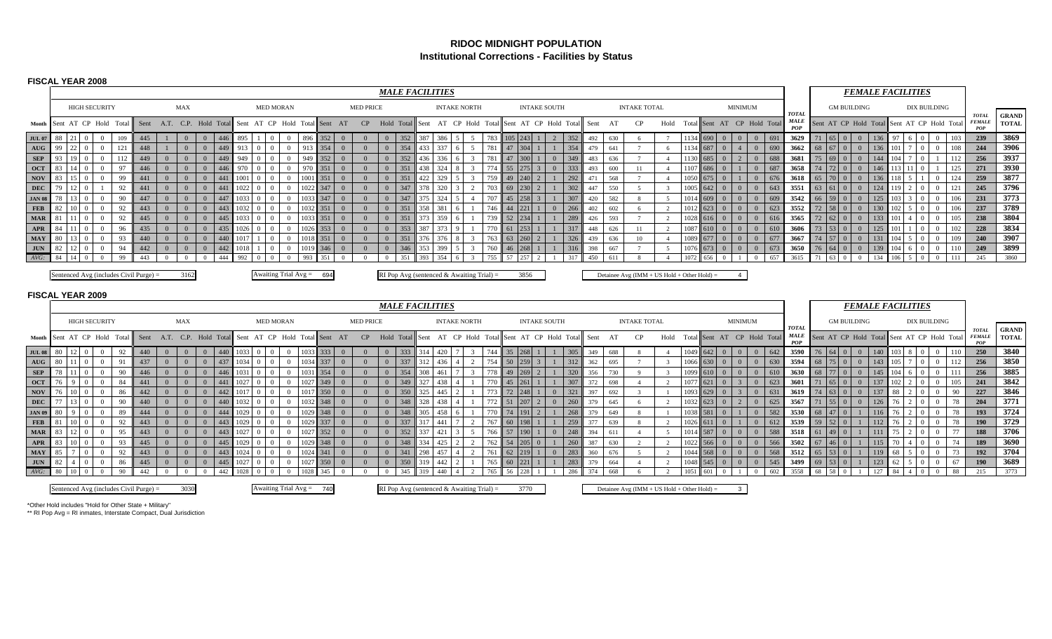### **RIDOC MIDNIGHT POPULATIONInstitutional Corrections - Facilities by Status**

#### **FISCAL YEAR 2008**

|                                    |          |                      |                       |          |            |          |          |          |                           |      |                  |          |      |                               |            |                |                  |                | <b>MALE FACILITIES</b> |            |            |                                             |                  |          |           |                       |            |            |            |                     |          |             |            |                |                |                             |                             |                     |                                         | <b>FEMALE FACILITIES</b> |            |                          |                                  |                                             |          |                                      |                              |
|------------------------------------|----------|----------------------|-----------------------|----------|------------|----------|----------|----------|---------------------------|------|------------------|----------|------|-------------------------------|------------|----------------|------------------|----------------|------------------------|------------|------------|---------------------------------------------|------------------|----------|-----------|-----------------------|------------|------------|------------|---------------------|----------|-------------|------------|----------------|----------------|-----------------------------|-----------------------------|---------------------|-----------------------------------------|--------------------------|------------|--------------------------|----------------------------------|---------------------------------------------|----------|--------------------------------------|------------------------------|
|                                    |          |                      | <b>HIGH SECURITY</b>  |          |            |          | MAX      |          |                           |      | <b>MED MORAN</b> |          |      |                               |            |                | <b>MED PRICE</b> |                |                        |            |            | <b>INTAKE NORTH</b>                         |                  |          |           | <b>INTAKE SOUTH</b>   |            |            |            | <b>INTAKE TOTAL</b> |          |             |            |                | <b>MINIMUM</b> |                             | <b>TOTAL</b>                |                     | <b>GM BUILDING</b>                      |                          |            |                          |                                  | <b>DIX BUILDING</b>                         |          |                                      |                              |
| Month Sent AT CP Hold Total        |          |                      |                       |          |            |          |          |          | Sent A.T. C.P. Hold Total |      |                  |          |      | Sent AT CP Hold Total Sent AT |            |                | CP               |                | Hold Total             | Sent       |            |                                             | AT CP Hold Total |          |           | Sent AT CP Hold Total |            | Sent       | AT         | CP                  | Hold     |             |            |                |                | Total Sent AT CP Hold Total | <b>MALE</b><br>POF          |                     |                                         |                          |            |                          |                                  | Sent AT CP Hold Total Sent AT CP Hold Total |          | <b>TOTAL</b><br><b>FEMALE</b><br>POP | <b>GRAND</b><br><b>TOTAL</b> |
| <b>JUL 07</b>                      | - 88     | 21                   |                       | 109      | 445        |          | $\Omega$ | $\Omega$ | 446                       | 895  |                  | $\Omega$ | 896  | 352                           |            | $\overline{0}$ | $\overline{0}$   | $\overline{0}$ | 352                    | 387        | 386        | $\sim$                                      | 783              |          | $105$ 243 | $\mathcal{D}$         | 352        | 492        | 630        |                     |          | 1134        | 690        | $\Omega$       | $\overline{0}$ | $\overline{0}$<br>691       | 3629                        | 71 65 0             |                                         | $\Omega$                 | 136        | 97                       | $6 \quad 0$                      | $\overline{0}$                              | 103      | 239                                  | 3869                         |
| $\mathbf{A} \mathbf{U} \mathbf{G}$ | 99       | 22                   |                       | 121      | 448        |          | $\Omega$ | $\Omega$ | 449                       |      |                  |          | 913  | 354                           |            |                | $\Omega$         | $\Omega$       | 354                    | 433        | 337        |                                             | 781              |          |           |                       | 354        | 479        | 641        |                     |          | 1134        | 687        |                |                | 690<br>$\overline{0}$       | 3662                        |                     |                                         |                          | 136        | 101                      | $\overline{0}$                   | $\Omega$                                    | 108      | 244                                  | 3906                         |
| <b>SEP</b>                         | 93       | 19 <sub>0</sub>      |                       | 112      | 449        |          | $\Omega$ | $\Omega$ | 449                       | 949  |                  |          | 949  | 352                           | $^{\circ}$ |                | $\Omega$         | $\Omega$       | 352                    | 436        | 336        |                                             | 781              | 47       |           | $\Omega$              | 349        | 483        | 636        |                     |          | 1130        | 685        |                |                | $\overline{0}$<br>688       | 3681                        | 75<br>1.69          |                                         |                          | 144        | 04                       | $\Omega$                         |                                             | 112      | 256                                  | 3937                         |
| <b>OCT</b>                         | 83       | $14 \quad 0$         |                       | 97       | 446        | $\Omega$ |          | $\Omega$ | 446                       |      |                  |          | 970  | 351                           |            | $\Omega$       | $\Omega$         | $\Omega$       | 351                    | 438        | 324        |                                             |                  | 55       |           | $\Omega$              | 333        | 493        | 600        | 11                  |          | 1101        | 686        |                |                | $\Omega$<br>687             | 3658                        | 74                  | $\begin{bmatrix} 72 \\ 0 \end{bmatrix}$ |                          | 146        | 113                      | 11 <sup>1</sup><br>$\Omega$      |                                             | 125      | 271                                  | 3930                         |
| <b>NOV</b>                         | 83       |                      |                       | 99       |            |          |          |          |                           |      |                  |          | 1001 | 351                           |            |                |                  | $\Omega$       |                        | 422        | 329        |                                             |                  |          |           |                       | 292        | 471        | 568        |                     |          | 105         | 575        |                |                |                             | 3618                        |                     |                                         |                          |            | 18                       |                                  |                                             | 124      | 259                                  | 3877                         |
| <b>DEC</b>                         | 79       |                      |                       | 92       |            |          |          |          |                           |      |                  |          | 022  | 347                           |            |                |                  | $\Omega$       | 347                    |            | 320        |                                             |                  |          |           |                       | 302        | 447        | 550        |                     |          | 100         | 542        |                |                | $\Omega$<br>643             | 3551                        | 63<br>61            |                                         |                          | 124        | 119                      |                                  | $\Omega$                                    | 121      | 245                                  | 3796                         |
| <b>JAN 08</b>                      | 78       |                      |                       | 90       | 447        |          |          | $\Omega$ |                           |      |                  |          |      | 347<br>1033                   | $\Omega$   |                |                  | $\Omega$       | 347                    | 375        | 324        |                                             | 707              | 45       |           |                       | 307        | 420        | 582        |                     |          | 101         | 609        |                |                | 609<br>$\Omega$             | 3542                        |                     |                                         |                          | 125        | 103                      | $\Omega$                         | $\Omega$                                    | 106      | 231                                  | 3773                         |
| <b>FEB</b>                         | 82       |                      |                       | 92       | 443        |          |          |          |                           |      |                  |          |      | 351                           |            |                |                  | $\Omega$       | 351                    | 358        | 381        |                                             |                  |          |           | $\Omega$              | 266        | 402        | 602        |                     |          |             | 623        |                |                | 623<br>$\Omega$             | 3552                        | 72                  |                                         |                          | 130        | 102                      |                                  |                                             | 106      | 237                                  | 3789                         |
| <b>MAR</b>                         | 81       |                      |                       | 92       | 445        |          |          | $\Omega$ | 445                       |      |                  |          |      | 1033 351                      |            |                | $\Omega$         | $\Omega$       | 351                    | 373        | 359        |                                             | 739              | 52       |           |                       | 289        | 426        | 593        |                     |          |             | 616        |                |                | 616<br>$\Omega$             | 3565                        | 72<br>62            | LΩ                                      |                          | 133        | 101                      |                                  |                                             | 105      | 238                                  | 3804                         |
| <b>APR</b>                         | 84       |                      |                       | 96       | 435        |          |          |          | 435                       |      |                  |          | 1026 | 353                           |            | $\Omega$       |                  | $\Omega$       | 353                    | 387        | 373        |                                             |                  |          |           |                       | 317        | 448        | 626        | 11                  |          | 108         | 610        |                |                | 610<br>$\Omega$             | 3606                        | 53                  |                                         |                          | 125        |                          |                                  |                                             | 102      | 228                                  | 3834                         |
| <b>MAY</b>                         | 80       |                      |                       | 93       | 440        |          |          |          |                           |      |                  |          |      | 1018 351                      |            | $\Omega$       | $\overline{0}$   | $\Omega$       | 351                    |            | 376        |                                             |                  | 63       |           |                       | 326        | 439        | 636        | 10                  |          |             | 677        |                |                | 677<br>$\Omega$             | 3667                        | 157                 |                                         |                          | 131        | 104                      | $\sim$                           | $\Omega$                                    | 109      | 240                                  | 3907                         |
| <b>JUN</b>                         | 82       | 12                   |                       | 94       | 442        | $\Omega$ | $\Omega$ | $\Omega$ | 442                       |      |                  |          |      | 1019 346                      |            | $\Omega$       | $\overline{0}$   | $\overline{0}$ | 346                    | 353        | 399        |                                             | 760              | 46       |           |                       | 316        | 398        | 667        |                     | $\sim$   | 1076        | 673        |                |                | 673<br>$\overline{0}$       | 3650                        | 64<br>76            |                                         | $\Omega$                 | 139        | 104                      | $\overline{0}$<br>6              | $\overline{0}$                              | 110      | 249                                  | 3899                         |
| $AVG$ :                            | 84       | 14 0                 |                       | 99       | 443        | $\Omega$ |          | $\Omega$ | 444                       | 992  |                  |          | 993  | 351                           |            | $\Omega$       |                  | $\Omega$       |                        | 393        | 354        |                                             | 755              | 57       |           |                       | 317        | 450        |            |                     |          |             | 556        |                |                | 657<br>$\Omega$             | 3615                        |                     |                                         |                          | 134        | 106                      | $5 \quad 0$                      | $\Omega$                                    | -111     | 245                                  | 3860                         |
|                                    |          |                      |                       |          |            |          |          |          |                           |      |                  |          |      |                               |            |                |                  |                |                        |            |            | RI Pop Avg (sentenced & Awaiting Trial) $=$ |                  |          |           |                       |            |            |            |                     |          |             |            |                |                |                             |                             |                     |                                         |                          |            |                          |                                  |                                             |          |                                      |                              |
| <b>FISCAL YEAR 2009</b>            |          |                      |                       |          |            |          |          |          |                           |      |                  |          |      |                               |            |                |                  |                |                        |            |            |                                             |                  |          |           |                       |            |            |            |                     |          |             |            |                |                |                             |                             |                     |                                         |                          |            |                          |                                  |                                             |          |                                      |                              |
|                                    |          |                      |                       |          |            |          |          |          |                           |      |                  |          |      |                               |            |                |                  |                | <b>MALE FACILITIES</b> |            |            |                                             |                  |          |           |                       |            |            |            |                     |          |             |            |                |                |                             |                             |                     |                                         |                          |            | <b>FEMALE FACILITIES</b> |                                  |                                             |          |                                      |                              |
|                                    |          |                      | <b>HIGH SECURITY</b>  |          |            |          | MAX      |          |                           |      | <b>MED MORAN</b> |          |      |                               |            |                | <b>MED PRICE</b> |                |                        |            |            | <b>INTAKE NORTH</b>                         |                  |          |           | <b>INTAKE SOUTH</b>   |            |            |            | <b>INTAKE TOTAL</b> |          |             |            |                | <b>MINIMUM</b> |                             |                             |                     | <b>GM BUILDING</b>                      |                          |            |                          |                                  | <b>DIX BUILDING</b>                         |          |                                      |                              |
| <b>Month</b>                       |          |                      | Sent AT CP Hold Total |          | Sent       |          |          |          | A.T. C.P. Hold Total      |      |                  |          |      | Sent AT CP Hold Total Sent AT |            |                | CP               |                | Hold Total             | Sent       |            |                                             | AT CP Hold Total | Sent     |           | AT CP Hold Total      |            | Sent       | AT         | $\rm CP$            | Hold     | Total       |            |                |                | Sent AT CP Hold Total       | <b>TOTAL</b><br><b>MALE</b> |                     | Sent AT CP Hold Total                   |                          |            |                          |                                  | Sent AT CP Hold Total                       |          | <b>TOTAL</b><br><b>FEMALE</b><br>POP | <b>GRAND</b><br><b>TOTAL</b> |
| <b>JUL 08</b>                      | 80       | $12 \quad 0$         |                       | 92       | 440        |          |          | $\Omega$ | 440                       |      |                  |          |      | 1033 333                      |            | $\Omega$       | $\overline{0}$   | $\Omega$       | 333                    |            | 420        |                                             | 744              | 35       |           |                       | 305        | 349        | 688        |                     |          | 1049        | 642        | $\overline{0}$ |                | 642<br>$\overline{0}$       | 3590                        | 76 64 0             |                                         | $\theta$                 | 140        | 103                      | 8 <sup>0</sup>                   | $\bf{0}$                                    | 110      | 250                                  | 3840                         |
| AUG                                | 80       |                      |                       | 91       | 437        |          |          |          |                           |      |                  |          | 034  | 337                           |            |                |                  | $\Omega$       | 337                    |            | 436        |                                             |                  | 50       |           |                       | 312        | 362        | 695        |                     |          | 1066        | 630        |                |                | 630<br>$\Omega$             | 3594                        |                     | $75$ 0                                  |                          | 143        | 105                      |                                  |                                             | 112      | 256                                  | 3850                         |
| <b>SEP</b>                         | 78       |                      |                       | 90       | 446        |          |          |          |                           |      |                  |          | 03   | 354                           |            |                |                  | $\Omega$       | 354                    |            | 46         |                                             |                  |          |           |                       | 320        | 356        | 730        |                     |          | 109         |            |                |                | 610                         | 3630                        |                     |                                         |                          | 145        | 104                      | 6                                |                                             | 111      | 256                                  | 3885                         |
| <b>OCT</b>                         | 76       |                      |                       | 84       | 441        | $\Omega$ | $\Omega$ |          |                           |      |                  |          | 027  | 349                           | $\Omega$   |                | $\overline{0}$   | $\Omega$       | 349                    | 327        | 438        |                                             |                  | 45       |           |                       | 307        | 372        | 698        |                     |          | 107         | 621        |                |                | 623<br>$\Omega$             | 360                         | 65                  |                                         |                          | 137        | 102                      | $2 \mid 0$                       | $\overline{0}$                              | 105      | 241                                  | 3842                         |
| <b>NOV</b>                         | 76       |                      |                       | 86       | 442        |          | $\Omega$ | $\Omega$ | 442                       |      |                  |          | 1017 | 350                           | $\Omega$   |                | $\Omega$         | $\mathbf{0}$   | 350                    | 325        | 445        |                                             |                  | 72       |           | $\Omega$              | 321        | 397        | 692        |                     |          | 1093        | 629        |                |                | 631<br>$\overline{0}$       | 3619                        | 63                  |                                         |                          | 137        | 88                       | $\overline{2}$<br>$\Omega$       | $\overline{0}$                              | 90       | 227                                  | 3846                         |
| <b>DEC</b>                         | 77       |                      |                       | 90       | 440        |          |          |          | 440                       |      |                  |          |      | 032 348                       |            |                |                  | $\mathbf{0}$   | 348                    | 328        | 438        |                                             |                  | 51       |           | $\Omega$              | 260        | 379        | 645        |                     |          | 1032        | 623        |                |                | 625<br>$\Omega$             | 3567                        | 71                  | $55 \mid 0$                             |                          | 126        | 76                       | $\overline{2}$<br>$\overline{0}$ | $\Omega$                                    | 78       | 204                                  | 3771                         |
| <b>JAN 09</b>                      | 80       | $\Omega$             |                       | 89       | 444        |          |          |          | 444                       |      |                  |          |      | 348<br>029                    |            | $\Omega$       | $\Omega$         | $\Omega$       | 348                    | 305        | 458        |                                             |                  | 74       |           |                       | 268        | 379        | 649        |                     |          | 1038        | 581        |                |                | 582<br>$\Omega$             | 3530                        | 47<br>68            | IO.                                     |                          | 116        | 76                       | $\mathcal{D}$<br>$\Omega$        |                                             | 78       | 193                                  | 3724                         |
| <b>FEB</b>                         | 81       | 10                   |                       | 92       | 443        | $\Omega$ |          | $\Omega$ | 443                       |      |                  |          |      | 1029 337                      |            | $\Omega$       | $\overline{0}$   | $\mathbf{0}$   | 337                    |            | 441        |                                             | 767              | 60       |           |                       | 259        | 377        | 639        |                     |          | 102         | 611        |                |                | $\Omega$<br>612             | 3539                        | 52<br>59            | $\overline{0}$                          |                          | 112        | 76                       | $\overline{2}$<br>$\Omega$       |                                             | 78       | <b>190</b>                           | 3729                         |
| <b>MAR</b>                         | 83       | 12<br>$\overline{1}$ |                       | 95       | 443        |          |          |          |                           |      |                  |          |      | 1027 352                      |            | $\Omega$       | $\Omega$         | $\Omega$       | 352                    |            | 421        |                                             | 766              | 57       |           |                       | 248        | 394        | 611        |                     |          |             | 587        |                |                | 588<br>$\Omega$             | 3518                        | 49                  |                                         |                          | 111        | 75                       | $\mathcal{D}$<br>$\Omega$        |                                             | 77       | 188                                  | 3706                         |
| <b>APR</b>                         | 83       | 10 <sub>0</sub>      |                       | 93       | 445        | $\Omega$ | $\Omega$ | $\Omega$ | 445                       | 1029 | $\Omega$         |          |      | 1029 348                      |            | $\Omega$       | $\overline{0}$   | $\overline{0}$ | 348                    | 334        | 425        | $\overline{2}$                              | 762              | 54       | 205       |                       | 260        | 387        | 630        | $\mathcal{L}$       | $\gamma$ | 1022        | 566        |                | $\Omega$       | 566<br>$\overline{0}$       | 3502                        | 67                  | $46 \mid 0$                             |                          | 115        | 70                       | $4 \mid 0$                       | $\overline{0}$                              | 74       | 189                                  | 3690                         |
| <b>MAY</b>                         | 85       |                      |                       | 92       | 443        | $\Omega$ | $\Omega$ | $\Omega$ | 443                       |      |                  |          |      | 1024 341                      |            | $\Omega$       | $\overline{0}$   | $\overline{0}$ | 341                    | 298        | 457        | $\overline{2}$                              | 761              | 62       | 219       | $\Omega$              | 283        | 360        | 676        |                     |          | 1044        | 568        |                |                | 568<br>$\overline{0}$       | 3512                        | $65 \mid 53 \mid 0$ |                                         |                          | 119        | 68                       | $5 \quad 0$                      | $\Omega$                                    | 73       | 192                                  | 3704                         |
| <b>JUN</b><br>$AVG$ :              | 82<br>80 |                      |                       | 86<br>90 | 445<br>442 |          | $\Omega$ |          | 445<br>442                |      |                  |          |      | 350<br>027<br>345             |            |                |                  | $\Omega$       | 350<br>345             | 319<br>319 | 442<br>440 |                                             | 765<br>765       | 60<br>56 |           |                       | 283<br>286 | 379<br>374 | 664<br>668 |                     |          | 1048<br>105 | 545<br>601 |                |                | 545<br>$\Omega$<br>602      | 3499<br>3558                | 69<br>68<br>58      | $53 \quad 0$                            |                          | 123<br>127 | 62<br>84                 | 5 <sup>5</sup>                   |                                             | 67<br>88 | 190<br>215                           | 3689<br>3773                 |

3030

Sentenced Avg (includes Civil Purge) = 3030 Awaiting Trial Avg = 740 RI Pop Avg (sentenced & Awaiting Trial) = 3770 Detainee Avg (IMM + US Hold + Other Hold) = 3

\*Other Hold includes "Hold for Other State + Military" \*\* RI Pop Avg = RI inmates, Interstate Compact, Dual Jurisdiction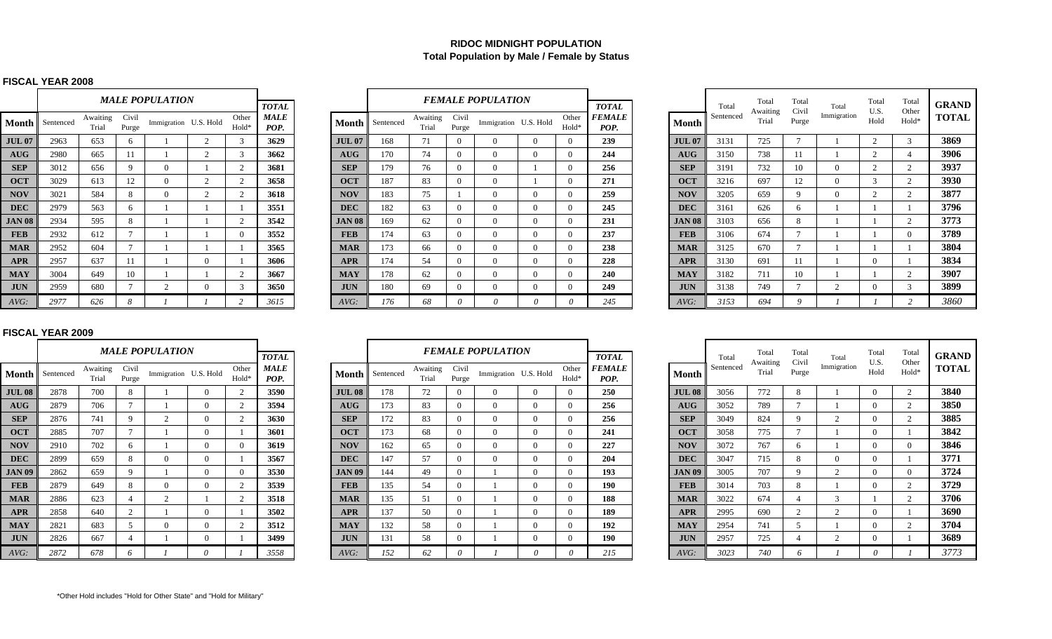# **RIDOC MIDNIGHT POPULATIONTotal Population by Male / Female by Status**

### **FISCAL YEAR 2008**

|               |           |                   |                | <i><b>MALE POPULATION</b></i> |                |                |                     |
|---------------|-----------|-------------------|----------------|-------------------------------|----------------|----------------|---------------------|
|               |           |                   |                |                               |                |                | <b>TOTAL</b>        |
| Month         | Sentenced | Awaiting<br>Trial | Civil<br>Purge | Immigration                   | U.S. Hold      | Other<br>Hold* | <b>MALE</b><br>POP. |
| <b>JUL 07</b> | 2963      | 653               | 6              | 1                             | $\mathfrak{D}$ | $\mathcal{F}$  | 3629                |
| <b>AUG</b>    | 2980      | 665               | 11             | 1                             | $\overline{c}$ | 3              | 3662                |
| <b>SEP</b>    | 3012      | 656               | 9              | $\Omega$                      | 1              | $\mathfrak{D}$ | 3681                |
| <b>OCT</b>    | 3029      | 613               | 12             | $\Omega$                      | $\overline{2}$ | $\overline{c}$ | 3658                |
| <b>NOV</b>    | 3021      | 584               | 8              | $\theta$                      | $\overline{c}$ | $\overline{2}$ | 3618                |
| <b>DEC</b>    | 2979      | 563               | 6              | 1                             | 1              | 1              | 3551                |
| <b>JAN 08</b> | 2934      | 595               | 8              | 1                             | 1              | $\overline{2}$ | 3542                |
| <b>FEB</b>    | 2932      | 612               | $\overline{7}$ | 1                             | 1              | $\Omega$       | 3552                |
| <b>MAR</b>    | 2952      | 604               | $\overline{7}$ | 1                             | 1              | 1              | 3565                |
| <b>APR</b>    | 2957      | 637               | 11             | 1                             | $\Omega$       | 1              | 3606                |
| <b>MAY</b>    | 3004      | 649               | 10             | 1                             | 1              | $\mathfrak{2}$ | 3667                |
| <b>JUN</b>    | 2959      | 680               | 7              | $\overline{c}$                | $\Omega$       | 3              | 3650                |
| AVG:          | 2977      | 626               | 8              | $\mathcal{I}$                 | 1              | $\overline{c}$ | 3615                |

|               |           |                   |                | <b>MALE POPULATION</b> |                            | <b>TOTAL</b>        |               |           |                   |                | <b>FEMALE POPULATION</b> |          |                | <b>TOTAL</b>                 |               | Total     | Total             | Total<br>Civil | Total       | Total<br>U.S. | Total<br>Other | <b>GRAN</b> |
|---------------|-----------|-------------------|----------------|------------------------|----------------------------|---------------------|---------------|-----------|-------------------|----------------|--------------------------|----------|----------------|------------------------------|---------------|-----------|-------------------|----------------|-------------|---------------|----------------|-------------|
| ⁄Ionth        | Sentenced | Awaiting<br>Trial | Civil<br>Purge | Immigration U.S. Hold  | Other<br>Hold <sup>*</sup> | <b>MALE</b><br>POP. | <b>Month</b>  | Sentenced | Awaiting<br>Trial | Civil<br>Purge | Immigration U.S. Hold    |          | Other<br>Hold* | <i><b>FEMALE</b></i><br>POP. | <b>Month</b>  | Sentenced | Awaiting<br>Trial | Purge          | Immigration | Hold          | Hold*          | TOT/        |
| <b>IUL 07</b> | 2963      | 653               |                |                        | 3                          | 3629                | <b>JUL 07</b> | 168       | 71                | $\Omega$       |                          | $\Omega$ | $\Omega$       | 239                          | <b>JUL 07</b> | 3131      | 725               |                |             |               |                | 3869        |
| <b>AUG</b>    | 2980      | 665               |                |                        |                            | 3662                | <b>AUG</b>    | 170       | 74                | $\Omega$       |                          | $\Omega$ | $\Omega$       | 244                          | <b>AUG</b>    | 3150      | 738               |                |             |               |                | 3906        |
| <b>SEP</b>    | 3012      | 656               |                | $\Omega$               |                            | 3681                | <b>SEP</b>    | 179       | 76                |                |                          |          | $\Omega$       | 256                          | <b>SEP</b>    | 3191      | 732               | 10             | $\Omega$    |               |                | 3937        |
| <b>OCT</b>    | 3029      | 613               | 12             | $\left($               | $\gamma$                   | 3658                | <b>OCT</b>    | 187       | 83                | $\Omega$       |                          |          | $\Omega$       | 271                          | <b>OCT</b>    | 3216      | 697               | 12             | $\Omega$    |               |                | 3930        |
| <b>NOV</b>    | 3021      | 584               | -8             | $\Omega$               | $\bigcap$                  | 3618                | <b>NOV</b>    | 183       | 75                |                |                          |          | $\Omega$       | 259                          | <b>NOV</b>    | 3205      | 659               | $\Omega$       | $\Omega$    |               |                | 3877        |
| <b>DEC</b>    | 2979      | 563               | . რ            |                        |                            | 3551                | <b>DEC</b>    | 182       | 63                | $\theta$       |                          | $\Omega$ | $\Omega$       | 245                          | <b>DEC</b>    | 3161      | 626               | h              |             |               |                | 3796        |
| <b>AN 08</b>  | 2934      | 595               |                |                        | $\bigcirc$                 | 3542                | <b>JAN 08</b> | 169       | 62                | $\Omega$       |                          | $\Omega$ |                | 231                          | <b>JAN 08</b> | 3103      | 656               | 8              |             |               |                | 3773        |
| <b>FEB</b>    | 2932      | 612               |                |                        | $\Omega$                   | 3552                | <b>FEB</b>    | 174       | 63                |                |                          | $\Omega$ | $\Omega$       | 237                          | <b>FEB</b>    | 3106      | 674               |                |             |               |                | 3789        |
| <b>MAR</b>    | 2952      | 604               |                |                        |                            | 3565                | <b>MAR</b>    | 173       | 66                |                |                          | $\Omega$ | $\Omega$       | 238                          | <b>MAR</b>    | 3125      | 670               |                |             |               |                | 3804        |
| <b>APR</b>    | 2957      | 637               |                |                        |                            | 3606                | <b>APR</b>    | 174       | 54                | $\Omega$       |                          | $\Omega$ | $\Omega$       | 228                          | <b>APR</b>    | 3130      | 691               | 11             |             |               |                | 3834        |
| <b>MAY</b>    | 3004      | 649               | 10             |                        | $\gamma$                   | 3667                | <b>MAY</b>    | 178       | 62                | $\Omega$       |                          | $\Omega$ | $\Omega$       | 240                          | <b>MAY</b>    | 3182      | 711               |                |             |               |                | 3907        |
| <b>JUN</b>    | 2959      | 680               |                | $\sim$                 |                            | 3650                | <b>JUN</b>    | 180       | 69                | $\Omega$       |                          | $\Omega$ | $\Omega$       | 249                          | <b>JUN</b>    | 3138      | 749               |                |             |               |                | 3899        |
| AVG:          | 2977      | 626               | -8             |                        |                            | 3615                | $AVG$ :       | 176       | 68                |                |                          |          |                | 245                          | $AVG$ :       | 3153      | 694               |                |             |               |                | 3860        |

|                   |                | <b>FEMALE POPULATION</b> |              |                | <b>TOTAL</b>          |               | Total     | Total<br>Awaiting | Total<br>Civil | Total          | Total<br>U.S.  | Total<br>Other | <b>GRAND</b> |
|-------------------|----------------|--------------------------|--------------|----------------|-----------------------|---------------|-----------|-------------------|----------------|----------------|----------------|----------------|--------------|
| Awaiting<br>Trial | Civil<br>Purge | Immigration U.S. Hold    |              | Other<br>Hold* | <b>FEMALE</b><br>POP. | <b>Month</b>  | Sentenced | Trial             | Purge          | Immigration    | Hold           | Hold*          | <b>TOTAL</b> |
| 71                | $\Omega$       | $\Omega$                 | $\Omega$     | $\Omega$       | 239                   | <b>JUL 07</b> | 3131      | 725               | $\tau$         |                | $\overline{2}$ | 3              | 3869         |
| 74                | $\Omega$       | $\Omega$                 | $\Omega$     | $\Omega$       | 244                   | AUG           | 3150      | 738               | 11             |                | 2              | 4              | 3906         |
| 76                | $\Omega$       | $\Omega$                 |              | $\Omega$       | 256                   | <b>SEP</b>    | 3191      | 732               | 10             | $\Omega$       | $\overline{2}$ | 2              | 3937         |
| 83                | 0              | $\mathbf{0}$             |              | $\mathbf{0}$   | 271                   | <b>OCT</b>    | 3216      | 697               | 12             | $\mathbf{0}$   | 3              | $\overline{c}$ | 3930         |
| 75                |                | $\Omega$                 | $\Omega$     | $\Omega$       | 259                   | <b>NOV</b>    | 3205      | 659               | 9              | $\Omega$       | 2              | 2              | 3877         |
| 63                | $\Omega$       | $\Omega$                 | $\Omega$     | $\Omega$       | 245                   | <b>DEC</b>    | 3161      | 626               | 6              |                |                |                | 3796         |
| 62                | $\Omega$       | $\mathbf{0}$             | $\Omega$     | $\Omega$       | 231                   | <b>JAN 08</b> | 3103      | 656               | 8              |                |                | $\overline{c}$ | 3773         |
| 63                | $\Omega$       | $\Omega$                 | $\Omega$     | $\Omega$       | 237                   | <b>FEB</b>    | 3106      | 674               | $\tau$         |                |                | $\Omega$       | 3789         |
| 66                | $\Omega$       | $\Omega$                 | $\Omega$     | $\Omega$       | 238                   | <b>MAR</b>    | 3125      | 670               | $\tau$         |                |                |                | 3804         |
| 54                | $\Omega$       | $\Omega$                 | $\Omega$     | $\Omega$       | 228                   | <b>APR</b>    | 3130      | 691               | 11             |                | $\Omega$       |                | 3834         |
| 62                | 0              | $\mathbf{0}$             | $\mathbf{0}$ | $\Omega$       | 240                   | <b>MAY</b>    | 3182      | 711               | 10             |                |                | 2              | 3907         |
| 69                | $\mathbf{0}$   | $\overline{0}$           | $\mathbf{0}$ | $\mathbf{0}$   | 249                   | <b>JUN</b>    | 3138      | 749               | $\tau$         | $\overline{2}$ | $\Omega$       | 3              | 3899         |
| 68                | 0              | $\theta$                 | 0            | 0              | 245                   | AVG:          | 3153      | 694               | 9              |                |                | $\overline{c}$ | 3860         |

#### **FISCAL YEAR 2009**

|               |           |                   |                | <b>MALE POPULATION</b> |           |                | <b>TOTAL</b>        |               |           |                   | <b>FEMALE P</b> |
|---------------|-----------|-------------------|----------------|------------------------|-----------|----------------|---------------------|---------------|-----------|-------------------|-----------------|
| <b>Month</b>  | Sentenced | Awaiting<br>Trial | Civil<br>Purge | Immigration            | U.S. Hold | Other<br>Hold* | <b>MALE</b><br>POP. | <b>Month</b>  | Sentenced | Awaiting<br>Trial | Civil<br>Purge  |
| <b>JUL 08</b> | 2878      | 700               | 8              |                        | $\Omega$  | 2              | 3590                | <b>JUL 08</b> | 178       | 72                | $\Omega$        |
| AUG           | 2879      | 706               | 7              |                        | $\Omega$  | 2              | 3594                | AUG           | 173       | 83                | $\Omega$        |
| <b>SEP</b>    | 2876      | 741               | 9              | 2                      | $\Omega$  | 2              | 3630                | <b>SEP</b>    | 172       | 83                | $\Omega$        |
| <b>OCT</b>    | 2885      | 707               | $\tau$         |                        | $\Omega$  | 1              | 3601                | <b>OCT</b>    | 173       | 68                | $\Omega$        |
| <b>NOV</b>    | 2910      | 702               | 6              |                        | $\Omega$  | $\Omega$       | 3619                | <b>NOV</b>    | 162       | 65                | $\Omega$        |
| <b>DEC</b>    | 2899      | 659               | 8              | $\Omega$               | $\Omega$  | 1              | 3567                | <b>DEC</b>    | 147       | 57                | $\Omega$        |
| <b>JAN 09</b> | 2862      | 659               | 9              |                        | $\Omega$  | $\Omega$       | 3530                | <b>JAN 09</b> | 144       | 49                | $\Omega$        |
| <b>FEB</b>    | 2879      | 649               | 8              | $\Omega$               | $\Omega$  | 2              | 3539                | <b>FEB</b>    | 135       | 54                | $\Omega$        |
| <b>MAR</b>    | 2886      | 623               | 4              | $\overline{c}$         |           | 2              | 3518                | <b>MAR</b>    | 135       | 51                | $\Omega$        |
| <b>APR</b>    | 2858      | 640               | 2              |                        | $\Omega$  | 1              | 3502                | <b>APR</b>    | 137       | 50                | $\Omega$        |
| <b>MAY</b>    | 2821      | 683               | 5              | $\Omega$               | $\Omega$  | 2              | 3512                | <b>MAY</b>    | 132       | 58                | $\Omega$        |
| <b>JUN</b>    | 2826      | 667               | 4              |                        | $\Omega$  | 1              | 3499                | <b>JUN</b>    | 131       | 58                | $\Omega$        |
| AVG:          | 2872      | 678               | 6              |                        | $\theta$  | $\mathcal I$   | 3558                | AVG:          | 152       | 62                | 0               |

|                                    |           |                   |                | <b>MALE POPULATION</b> |                | <b>TOTAL</b>        |               |           |                   |                | <b>FEMALE POPULATION</b> |          |                | <b>TOTAL</b>                 |               | Total     | Total<br>Awaiting | Total<br>Civil | Total       | Total<br>U.S. | Total<br>Other | <b>GRAN</b> |
|------------------------------------|-----------|-------------------|----------------|------------------------|----------------|---------------------|---------------|-----------|-------------------|----------------|--------------------------|----------|----------------|------------------------------|---------------|-----------|-------------------|----------------|-------------|---------------|----------------|-------------|
| Aonth                              | Sentenced | Awaiting<br>Trial | Civil<br>Purge | Immigration U.S. Hold  | Other<br>Hold* | <b>MALE</b><br>POP. | <b>Month</b>  | Sentenced | Awaiting<br>Trial | Civil<br>Purge | Immigration U.S. Hold    |          | Other<br>Hold* | <i><b>FEMALE</b></i><br>POP. | <b>Month</b>  | Sentenced | Trial             | Purge          | Immigration | Hold          | Hold*          | TOT/        |
| <b>UL 08</b>                       | 2878      | 700               | -8             |                        | $\gamma$       | 3590                | <b>JUL 08</b> | 178       | 72<br>72          | $\Omega$       |                          |          | $\Omega$       | 250                          | <b>JUL 08</b> | 3056      | 772               |                |             |               |                | 3840        |
| $\mathbf{A} \mathbf{U} \mathbf{G}$ | 2879      | 706               |                |                        | $\gamma$       | 3594                | <b>AUG</b>    | 173       | 83                | $\Omega$       |                          | $\Omega$ | $\Omega$       | 256                          | <b>AUG</b>    | 3052      | 789               |                |             |               |                | 3850        |
| <b>SEP</b>                         | 2876      | 741               | $\Omega$       | $\sim$                 | $\overline{2}$ | 3630                | <b>SEP</b>    | 172       | 83                | $\Omega$       |                          | $\Omega$ | $\Omega$       | 256                          | <b>SEP</b>    | 3049      | 824               | $\Omega$       |             |               |                | 3885        |
| <b>OCT</b>                         | 2885      | 707               |                |                        |                | 3601                | <b>OCT</b>    | 173       | 68                | $\theta$       |                          | $\Omega$ |                | 241                          | <b>OCT</b>    | 3058      | 775               |                |             |               |                | 3842        |
| <b>NOV</b>                         | 2910      | 702               | h              |                        | $\Omega$       | 3619                | <b>NOV</b>    | 162       | 65                | $\Omega$       |                          | $\Omega$ | $\Omega$       | 227                          | <b>NOV</b>    | 3072      | 767               | n.             |             |               |                | 3846        |
| <b>DEC</b>                         | 2899      | 659               | 8              |                        |                | 3567                | <b>DEC</b>    | 147       | 57                | $\Omega$       |                          | $\Omega$ | $\Omega$       | 204                          | <b>DEC</b>    | 3047      | 715               |                | $\Omega$    |               |                | 3771        |
| AN 09                              | 2862      | 659               | $\Omega$       |                        | $\Omega$       | 3530                | <b>JAN 09</b> | 144       | 49                | $\Omega$       |                          | $\Omega$ | $\Omega$       | 193                          | <b>JAN 09</b> | 3005      | 707               | $\Omega$       |             |               |                | 3724        |
| <b>FEB</b>                         | 2879      | 649               | 8              |                        | $\overline{2}$ | 3539                | <b>FEB</b>    | 135       | 54                | $\Omega$       |                          | $\Omega$ | $\Omega$       | 190                          | <b>FEB</b>    | 3014      | 703               | 8              |             |               |                | 3729        |
| <b>MAR</b>                         | 2886      | 623               |                | $\sim$                 | $\gamma$       | 3518                | <b>MAR</b>    | 135       | 51                | $\Omega$       |                          | $\Omega$ | $\Omega$       | 188                          | <b>MAR</b>    | 3022      | 674               |                |             |               |                | 3706        |
| <b>APR</b>                         | 2858      | 640               |                |                        |                | 3502                | <b>APR</b>    | 137       | 50                |                |                          | $\Omega$ | $\Omega$       | 189                          | <b>APR</b>    | 2995      | 690               |                |             |               |                | 3690        |
| <b>MAY</b>                         | 2821      | 683               |                | $\Omega$               | $\overline{2}$ | 3512                | <b>MAY</b>    | 132       | 58                | $\Omega$       |                          | $\Omega$ | $\Omega$       | 192                          | <b>MAY</b>    | 2954      | 741               |                |             | $\Omega$      |                | 3704        |
| <b>JUN</b>                         | 2826      | 667               |                |                        |                | 3499                | <b>JUN</b>    | 131       | 58                | $\Omega$       |                          | $\Omega$ | $\Omega$       | 190                          | <b>JUN</b>    | 2957      | 725               |                |             |               |                | 3689        |
| $AVG$ :                            | 2872      | 678               |                |                        |                | 3558                | $AVG$ :       | 152       |                   |                |                          |          |                | 215                          | $AVG$ :       | 3023      | 740               |                |             |               |                | 3773        |

|                   |                | <b>FEMALE POPULATION</b> |          |                | <b>TOTAL</b>          |               | Total     | Total<br>Awaiting | Total<br>Civil | Total          | Total<br>U.S. | Total<br>Other | <b>GRAND</b> |
|-------------------|----------------|--------------------------|----------|----------------|-----------------------|---------------|-----------|-------------------|----------------|----------------|---------------|----------------|--------------|
| Awaiting<br>Trial | Civil<br>Purge | Immigration U.S. Hold    |          | Other<br>Hold* | <b>FEMALE</b><br>POP. | Month         | Sentenced | Trial             | Purge          | Immigration    | Hold          | Hold*          | <b>TOTAL</b> |
| 72                | $\Omega$       | $\Omega$                 | $\Omega$ | $\Omega$       | 250                   | <b>JUL 08</b> | 3056      | 772               | 8              |                | $\theta$      | $\overline{2}$ | 3840         |
| 83                | $\Omega$       | $\mathbf{0}$             | $\Omega$ | $\Omega$       | 256                   | AUG           | 3052      | 789               | 7              |                | $\Omega$      | $\overline{2}$ | 3850         |
| 83                | $\Omega$       | $\Omega$                 | $\Omega$ | $\Omega$       | 256                   | <b>SEP</b>    | 3049      | 824               | 9              | $\overline{2}$ | $\Omega$      | $\overline{2}$ | 3885         |
| 68                | 0              | $\Omega$                 | $\Omega$ | $\Omega$       | 241                   | <b>OCT</b>    | 3058      | 775               | 7              |                | $\Omega$      |                | 3842         |
| 65                | $\Omega$       | $\Omega$                 | $\Omega$ | $\Omega$       | 227                   | <b>NOV</b>    | 3072      | 767               | 6              |                | $\Omega$      | $\Omega$       | 3846         |
| 57                | $\Omega$       | $\Omega$                 | $\Omega$ | $\Omega$       | 204                   | <b>DEC</b>    | 3047      | 715               | 8              | $\Omega$       | $\Omega$      |                | 3771         |
| 49                | $\Omega$       |                          | $\Omega$ | $\Omega$       | 193                   | <b>JAN 09</b> | 3005      | 707               | 9              | 2              | $\Omega$      | $\Omega$       | 3724         |
| 54                | $\overline{0}$ |                          | $\Omega$ | $\Omega$       | 190                   | <b>FEB</b>    | 3014      | 703               | 8              |                | $\Omega$      | $\overline{2}$ | 3729         |
| 51                | $\Omega$       |                          | $\Omega$ | $\Omega$       | 188                   | <b>MAR</b>    | 3022      | 674               | 4              | 3              |               | $\overline{2}$ | 3706         |
| 50                | $\Omega$       |                          | $\Omega$ | $\Omega$       | 189                   | <b>APR</b>    | 2995      | 690               | $\overline{c}$ | 2              | $\Omega$      |                | 3690         |
| 58                | $\Omega$       |                          | $\Omega$ | $\Omega$       | 192                   | <b>MAY</b>    | 2954      | 741               | 5              |                | $\Omega$      | $\overline{2}$ | 3704         |
| 58                | $\overline{0}$ |                          | $\Omega$ | $\Omega$       | 190                   | <b>JUN</b>    | 2957      | 725               | 4              | 2              | $\Omega$      |                | 3689         |
| 62                | 0              |                          | $\theta$ | $\theta$       | 215                   | $AVG$ :       | 3023      | 740               | 6              |                | $\theta$      |                | 3773         |